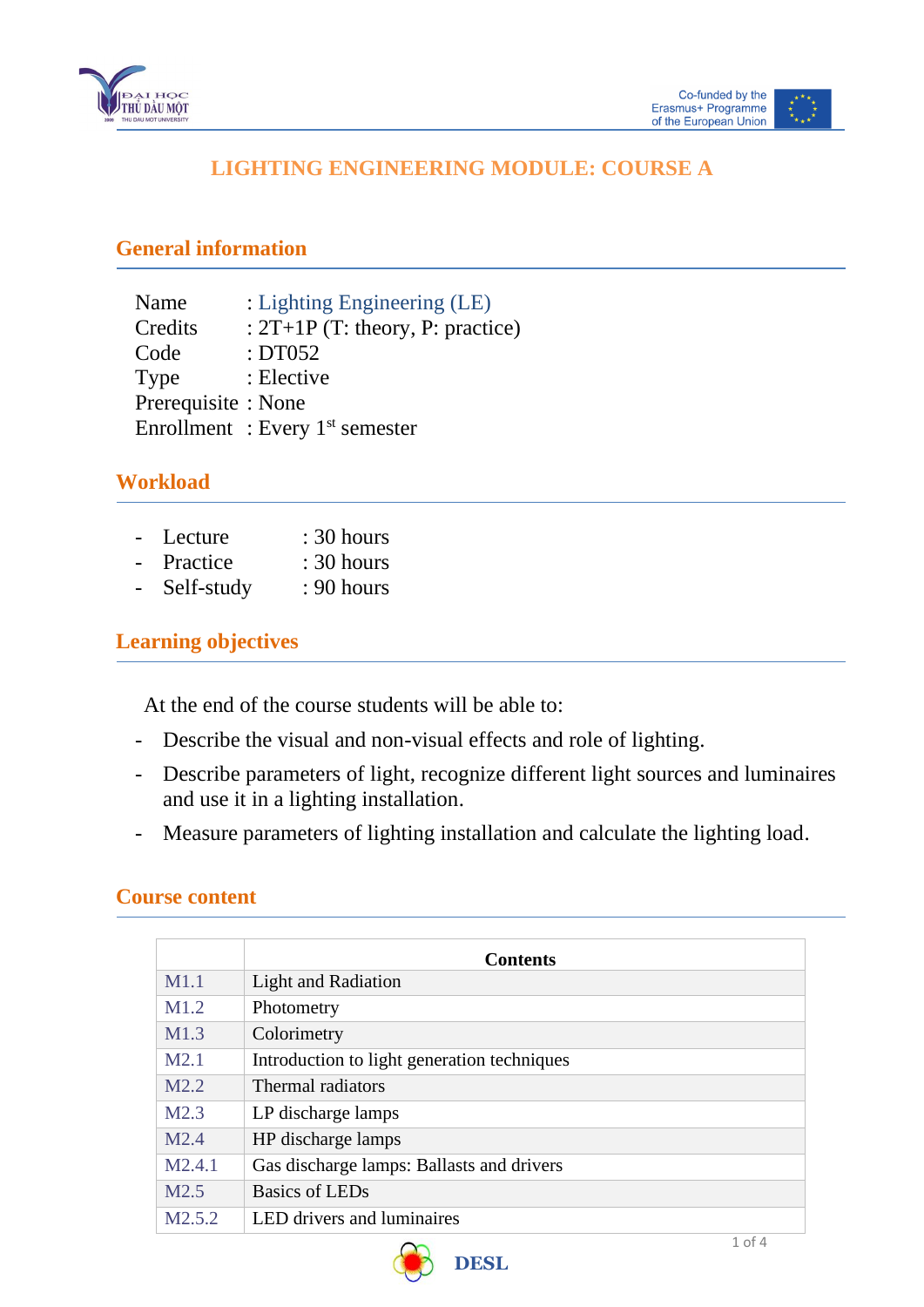



## **LIGHTING ENGINEERING MODULE: COURSE A**

#### **General information**

 $\overline{a}$ 

| Name                | : Lighting Engineering (LE)        |
|---------------------|------------------------------------|
| Credits             | : $2T+1P$ (T: theory, P: practice) |
| Code                | :DT052                             |
| Type                | : Elective                         |
| Prerequisite : None |                                    |
|                     | Enrollment: Every $1st$ semester   |
|                     |                                    |

### **Workload**

| $\overline{a}$ | Lecture  | $: 30$ hours |
|----------------|----------|--------------|
| ÷.             | Practice | $: 30$ hours |

- Self-study : 90 hours

### **Learning objectives**

At the end of the course students will be able to:

- Describe the visual and non-visual effects and role of lighting.
- Describe parameters of light, recognize different light sources and luminaires and use it in a lighting installation.
- Measure parameters of lighting installation and calculate the lighting load.

#### **Course content**

|                    | <b>Contents</b>                             |
|--------------------|---------------------------------------------|
| M1.1               | <b>Light and Radiation</b>                  |
| M1.2               | Photometry                                  |
| M1.3               | Colorimetry                                 |
| M2.1               | Introduction to light generation techniques |
| M2.2               | Thermal radiators                           |
| M2.3               | LP discharge lamps                          |
| M2.4               | HP discharge lamps                          |
| M2.4.1             | Gas discharge lamps: Ballasts and drivers   |
| M2.5               | Basics of LEDs                              |
| M <sub>2.5.2</sub> | <b>LED</b> drivers and luminaires           |